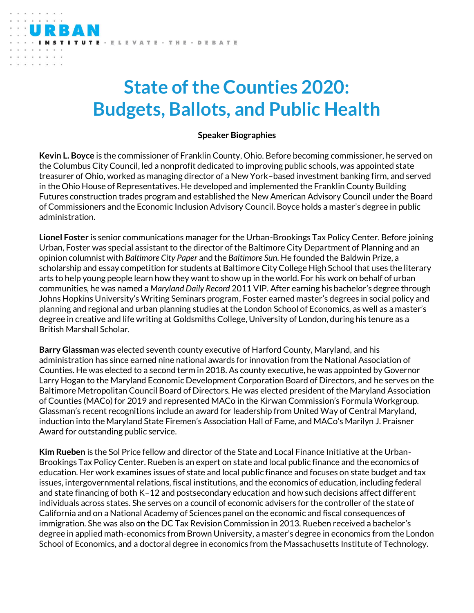## **State of the Counties 2020: Budgets, Ballots, and Public Health**

## **Speaker Biographies**

**Kevin L. Boyce** is the commissioner of Franklin County, Ohio. Before becoming commissioner, he served on the Columbus City Council, led a nonprofit dedicated to improving public schools, was appointed state treasurer of Ohio, worked as managing director of a New York–based investment banking firm, and served in the Ohio House of Representatives. He developed and implemented the Franklin County Building Futures construction trades program and established the New American Advisory Council under the Board of Commissioners and the Economic Inclusion Advisory Council. Boyce holds a master's degree in public administration.

**Lionel Foster** is senior communications manager for the Urban-Brookings Tax Policy Center. Before joining Urban, Foster was special assistant to the director of the Baltimore City Department of Planning and an opinion columnist with *Baltimore City Paper* and the *Baltimore Sun*. He founded the Baldwin Prize, a scholarship and essay competition for students at Baltimore City College High School that uses the literary arts to help young people learn how they want to show up in the world. For his work on behalf of urban communities, he was named a *Maryland Daily Record* 2011 VIP. After earning his bachelor's degree through Johns Hopkins University's Writing Seminars program, Foster earned master's degrees in social policy and planning and regional and urban planning studies at the London School of Economics, as well as a master's degree in creative and life writing at Goldsmiths College, University of London, during his tenure as a British Marshall Scholar.

**Barry Glassman** was elected seventh county executive of Harford County, Maryland, and his administration has since earned nine national awards for innovation from the National Association of Counties. He was elected to a second term in 2018. As county executive, he was appointed by Governor Larry Hogan to the Maryland Economic Development Corporation Board of Directors, and he serves on the Baltimore Metropolitan Council Board of Directors. He was elected president of the Maryland Association of Counties (MACo) for 2019 and represented MACo in the Kirwan Commission's Formula Workgroup. Glassman's recent recognitions include an award for leadership from United Way of Central Maryland, induction into the Maryland State Firemen's Association Hall of Fame, and MACo's Marilyn J. Praisner Award for outstanding public service.

**Kim Rueben** is the Sol Price fellow and director of the State and Local Finance Initiative at the Urban-Brookings Tax Policy Center. Rueben is an expert on state and local public finance and the economics of education. Her work examines issues of state and local public finance and focuses on state budget and tax issues, intergovernmental relations, fiscal institutions, and the economics of education, including federal and state financing of both K–12 and postsecondary education and how such decisions affect different individuals across states. She serves on a council of economic advisers for the controller of the state of California and on a National Academy of Sciences panel on the economic and fiscal consequences of immigration. She was also on the DC Tax Revision Commission in 2013. Rueben received a bachelor's degree in applied math-economics from Brown University, a master's degree in economics from the London School of Economics, and a doctoral degree in economics from the Massachusetts Institute of Technology.